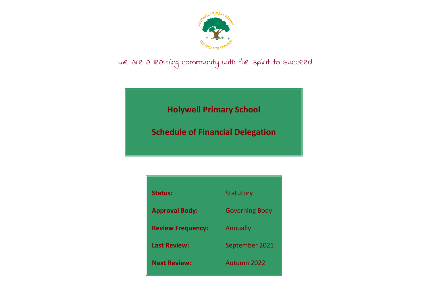

## we are a learning community with the spirit to succeed

**Holywell Primary School**

**Schedule of Financial Delegation**

| <b>Status:</b>           | <b>Statutory</b>      |
|--------------------------|-----------------------|
| <b>Approval Body:</b>    | <b>Governing Body</b> |
| <b>Review Frequency:</b> | Annually              |
| <b>Last Review:</b>      | September 2021        |
| <b>Next Review:</b>      | Autumn 2022           |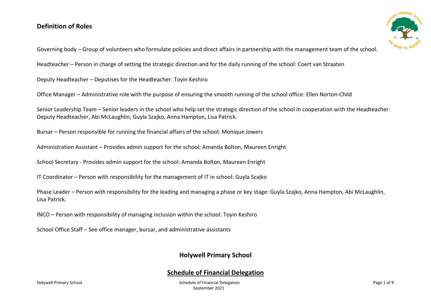## **Definition of Roles**



Governing body – Group of volunteers who formulate policies and direct affairs in partnership with the management team of the school.

Headteacher – Person in charge of setting the strategic direction and for the daily running of the school: Coert van Straaten

Deputy Headteacher – Deputises for the Headteacher: Toyin Keshiro

Office Manager – Administrative role with the purpose of ensuring the smooth running of the school office: Ellen Norton-Child

Senior Leadership Team – Senior leaders in the school who help set the strategic direction of the school in cooperation with the Headteacher: Deputy Headteacher, Abi McLaughlin, Guyla Szajko, Anna Hampton, Lisa Patrick.

Bursar – Person responsible for running the financial affairs of the school: Monique Jowers

Administration Assistant – Provides admin support for the school: Amanda Bolton, Maureen Enright

School Secretary - Provides admin support for the school: Amanda Bolton, Maureen Enright

IT Coordinator – Person with responsibility for the management of IT in school: Guyla Szajko

Phase Leader – Person with responsibility for the leading and managing a phase or key stage: Guyla Szajko, Anna Hampton, Abi McLaughlin, Lisa Patrick.

INCO – Person with responsibility of managing inclusion within the school: Toyin Keshiro

School Office Staff – See office manager, bursar, and administrative assistants

## **Holywell Primary School**

## **Schedule of Financial Delegation**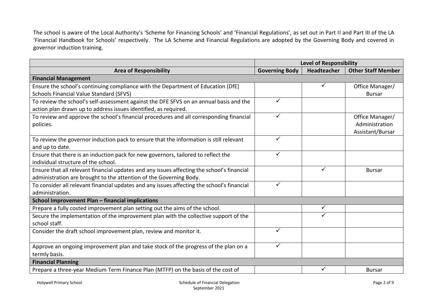The school is aware of the Local Authority's 'Scheme for Financing Schools' and 'Financial Regulations', as set out in Part II and Part III of the LA 'Financial Handbook for Schools' respectively. The LA Scheme and Financial Regulations are adopted by the Governing Body and covered in governor induction training.

|                                                                                            | <b>Level of Responsibility</b> |                    |                           |
|--------------------------------------------------------------------------------------------|--------------------------------|--------------------|---------------------------|
| <b>Area of Responsibility</b>                                                              | <b>Governing Body</b>          | <b>Headteacher</b> | <b>Other Staff Member</b> |
| <b>Financial Management</b>                                                                |                                |                    |                           |
| Ensure the school's continuing compliance with the Department of Education (DfE)           |                                |                    | Office Manager/           |
| <b>Schools Financial Value Standard (SFVS)</b>                                             |                                |                    | <b>Bursar</b>             |
| To review the school's self-assessment against the DFE SFVS on an annual basis and the     | ✓                              |                    |                           |
| action plan drawn up to address issues identified, as required.                            |                                |                    |                           |
| To review and approve the school's financial procedures and all corresponding financial    | $\checkmark$                   |                    | Office Manager/           |
| policies.                                                                                  |                                |                    | Administration            |
|                                                                                            |                                |                    | Assistant/Bursar          |
| To review the governor induction pack to ensure that the information is still relevant     | ✓                              |                    |                           |
| and up to date.                                                                            |                                |                    |                           |
| Ensure that there is an induction pack for new governors, tailored to reflect the          | ✓                              |                    |                           |
| individual structure of the school.                                                        |                                |                    |                           |
| Ensure that all relevant financial updates and any issues affecting the school's financial |                                | ✓                  | <b>Bursar</b>             |
| administration are brought to the attention of the Governing Body.                         |                                |                    |                           |
| To consider all relevant financial updates and any issues affecting the school's financial | $\checkmark$                   |                    |                           |
| administration.                                                                            |                                |                    |                           |
| School Improvement Plan - financial implications                                           |                                |                    |                           |
| Prepare a fully costed improvement plan setting out the aims of the school.                |                                | $\checkmark$       |                           |
| Secure the implementation of the improvement plan with the collective support of the       |                                |                    |                           |
| school staff.                                                                              |                                |                    |                           |
| Consider the draft school improvement plan, review and monitor it.                         | ✓                              |                    |                           |
|                                                                                            |                                |                    |                           |
| Approve an ongoing improvement plan and take stock of the progress of the plan on a        | ✓                              |                    |                           |
| termly basis.                                                                              |                                |                    |                           |
| <b>Financial Planning</b>                                                                  |                                |                    |                           |
| Prepare a three-year Medium Term Finance Plan (MTFP) on the basis of the cost of           |                                |                    | <b>Bursar</b>             |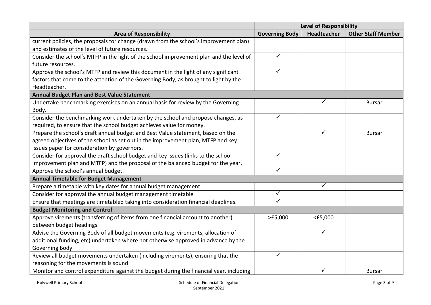|                                                                                         | <b>Level of Responsibility</b> |             |                           |
|-----------------------------------------------------------------------------------------|--------------------------------|-------------|---------------------------|
| <b>Area of Responsibility</b>                                                           | <b>Governing Body</b>          | Headteacher | <b>Other Staff Member</b> |
| current policies, the proposals for change (drawn from the school's improvement plan)   |                                |             |                           |
| and estimates of the level of future resources.                                         |                                |             |                           |
| Consider the school's MTFP in the light of the school improvement plan and the level of | $\checkmark$                   |             |                           |
| future resources.                                                                       |                                |             |                           |
| Approve the school's MTFP and review this document in the light of any significant      | $\checkmark$                   |             |                           |
| factors that come to the attention of the Governing Body, as brought to light by the    |                                |             |                           |
| Headteacher.                                                                            |                                |             |                           |
| <b>Annual Budget Plan and Best Value Statement</b>                                      |                                |             |                           |
| Undertake benchmarking exercises on an annual basis for review by the Governing         |                                | ✓           | <b>Bursar</b>             |
| Body.                                                                                   |                                |             |                           |
| Consider the benchmarking work undertaken by the school and propose changes, as         | $\checkmark$                   |             |                           |
| required, to ensure that the school budget achieves value for money.                    |                                |             |                           |
| Prepare the school's draft annual budget and Best Value statement, based on the         |                                | ✓           | <b>Bursar</b>             |
| agreed objectives of the school as set out in the improvement plan, MTFP and key        |                                |             |                           |
| issues paper for consideration by governors.                                            |                                |             |                           |
| Consider for approval the draft school budget and key issues (links to the school       | $\checkmark$                   |             |                           |
| improvement plan and MTFP) and the proposal of the balanced budget for the year.        |                                |             |                           |
| Approve the school's annual budget.                                                     | $\checkmark$                   |             |                           |
| <b>Annual Timetable for Budget Management</b>                                           |                                |             |                           |
| Prepare a timetable with key dates for annual budget management.                        |                                | ✓           |                           |
| Consider for approval the annual budget management timetable                            | $\checkmark$                   |             |                           |
| Ensure that meetings are timetabled taking into consideration financial deadlines.      | ✓                              |             |                           |
| <b>Budget Monitoring and Control</b>                                                    |                                |             |                           |
| Approve virements (transferring of items from one financial account to another)         | >E5,000                        | $<$ £5,000  |                           |
| between budget headings.                                                                |                                |             |                           |
| Advise the Governing Body of all budget movements (e.g. virements, allocation of        |                                | ✓           |                           |
| additional funding, etc) undertaken where not otherwise approved in advance by the      |                                |             |                           |
| Governing Body.                                                                         |                                |             |                           |
| Review all budget movements undertaken (including virements), ensuring that the         | $\checkmark$                   |             |                           |
| reasoning for the movements is sound.                                                   |                                |             |                           |
| Monitor and control expenditure against the budget during the financial year, including |                                | ✓           | <b>Bursar</b>             |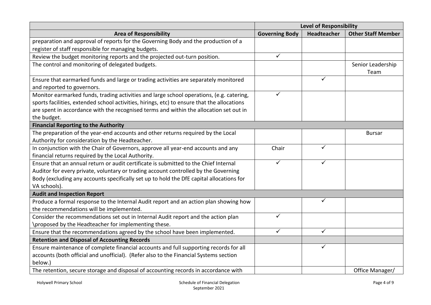|                                                                                             | <b>Level of Responsibility</b> |              |                           |
|---------------------------------------------------------------------------------------------|--------------------------------|--------------|---------------------------|
| <b>Area of Responsibility</b>                                                               | <b>Governing Body</b>          | Headteacher  | <b>Other Staff Member</b> |
| preparation and approval of reports for the Governing Body and the production of a          |                                |              |                           |
| register of staff responsible for managing budgets.                                         |                                |              |                           |
| Review the budget monitoring reports and the projected out-turn position.                   | ✓                              |              |                           |
| The control and monitoring of delegated budgets.                                            |                                |              | Senior Leadership         |
|                                                                                             |                                |              | Team                      |
| Ensure that earmarked funds and large or trading activities are separately monitored        |                                | ✓            |                           |
| and reported to governors.                                                                  |                                |              |                           |
| Monitor earmarked funds, trading activities and large school operations, (e.g. catering,    | ✓                              |              |                           |
| sports facilities, extended school activities, hirings, etc) to ensure that the allocations |                                |              |                           |
| are spent in accordance with the recognised terms and within the allocation set out in      |                                |              |                           |
| the budget.                                                                                 |                                |              |                           |
| <b>Financial Reporting to the Authority</b>                                                 |                                |              |                           |
| The preparation of the year-end accounts and other returns required by the Local            |                                |              | <b>Bursar</b>             |
| Authority for consideration by the Headteacher.                                             |                                |              |                           |
| In conjunction with the Chair of Governors, approve all year-end accounts and any           | Chair                          | ✓            |                           |
| financial returns required by the Local Authority.                                          |                                |              |                           |
| Ensure that an annual return or audit certificate is submitted to the Chief Internal        | ✓                              | ✓            |                           |
| Auditor for every private, voluntary or trading account controlled by the Governing         |                                |              |                           |
| Body (excluding any accounts specifically set up to hold the DfE capital allocations for    |                                |              |                           |
| VA schools).                                                                                |                                |              |                           |
| <b>Audit and Inspection Report</b>                                                          |                                |              |                           |
| Produce a formal response to the Internal Audit report and an action plan showing how       |                                | ✓            |                           |
| the recommendations will be implemented.                                                    |                                |              |                           |
| Consider the recommendations set out in Internal Audit report and the action plan           | ✓                              |              |                           |
| \proposed by the Headteacher for implementing these.                                        |                                |              |                           |
| Ensure that the recommendations agreed by the school have been implemented.                 | ✓                              | $\checkmark$ |                           |
| <b>Retention and Disposal of Accounting Records</b>                                         |                                |              |                           |
| Ensure maintenance of complete financial accounts and full supporting records for all       |                                | ✓            |                           |
| accounts (both official and unofficial). (Refer also to the Financial Systems section       |                                |              |                           |
| below.)                                                                                     |                                |              |                           |
| The retention, secure storage and disposal of accounting records in accordance with         |                                |              | Office Manager/           |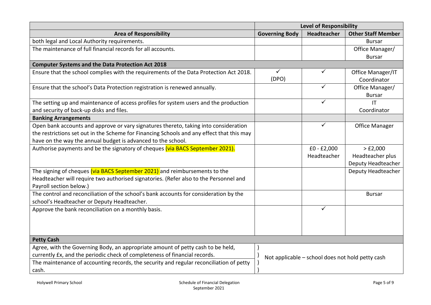|                                                                                           | <b>Level of Responsibility</b> |                                                  |                           |
|-------------------------------------------------------------------------------------------|--------------------------------|--------------------------------------------------|---------------------------|
| <b>Area of Responsibility</b>                                                             | <b>Governing Body</b>          | <b>Headteacher</b>                               | <b>Other Staff Member</b> |
| both legal and Local Authority requirements.                                              |                                |                                                  | <b>Bursar</b>             |
| The maintenance of full financial records for all accounts.                               |                                |                                                  | Office Manager/           |
|                                                                                           |                                |                                                  | <b>Bursar</b>             |
| <b>Computer Systems and the Data Protection Act 2018</b>                                  |                                |                                                  |                           |
| Ensure that the school complies with the requirements of the Data Protection Act 2018.    | $\checkmark$                   | $\checkmark$                                     | Office Manager/IT         |
|                                                                                           | (DPO)                          |                                                  | Coordinator               |
| Ensure that the school's Data Protection registration is renewed annually.                |                                |                                                  | Office Manager/           |
|                                                                                           |                                |                                                  | <b>Bursar</b>             |
| The setting up and maintenance of access profiles for system users and the production     |                                | ✓                                                | $\mathsf{I}\mathsf{T}$    |
| and security of back-up disks and files.                                                  |                                |                                                  | Coordinator               |
| <b>Banking Arrangements</b>                                                               |                                |                                                  |                           |
| Open bank accounts and approve or vary signatures thereto, taking into consideration      |                                | $\checkmark$                                     | <b>Office Manager</b>     |
| the restrictions set out in the Scheme for Financing Schools and any effect that this may |                                |                                                  |                           |
| have on the way the annual budget is advanced to the school.                              |                                |                                                  |                           |
| Authorise payments and be the signatory of cheques (via BACS September 2021).             |                                | $£0 - £2,000$                                    | > E2,000                  |
|                                                                                           |                                | Headteacher                                      | Headteacher plus          |
|                                                                                           |                                |                                                  | Deputy Headteacher        |
| The signing of cheques (via BACS September 2021) and reimbursements to the                |                                |                                                  | Deputy Headteacher        |
| Headteacher will require two authorised signatories. (Refer also to the Personnel and     |                                |                                                  |                           |
| Payroll section below.)                                                                   |                                |                                                  |                           |
| The control and reconciliation of the school's bank accounts for consideration by the     |                                |                                                  | <b>Bursar</b>             |
| school's Headteacher or Deputy Headteacher.                                               |                                |                                                  |                           |
| Approve the bank reconciliation on a monthly basis.                                       |                                | $\checkmark$                                     |                           |
|                                                                                           |                                |                                                  |                           |
|                                                                                           |                                |                                                  |                           |
|                                                                                           |                                |                                                  |                           |
| <b>Petty Cash</b>                                                                         |                                |                                                  |                           |
| Agree, with the Governing Body, an appropriate amount of petty cash to be held,           |                                |                                                  |                           |
| currently £x, and the periodic check of completeness of financial records.                |                                | Not applicable - school does not hold petty cash |                           |
| The maintenance of accounting records, the security and regular reconciliation of petty   |                                |                                                  |                           |
| cash.                                                                                     |                                |                                                  |                           |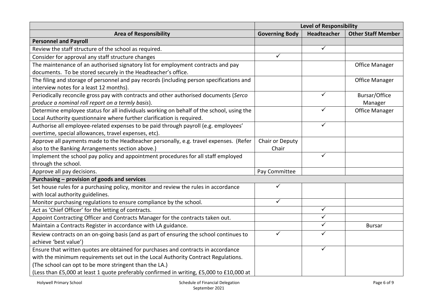|                                                                                          | <b>Level of Responsibility</b> |                         |                           |
|------------------------------------------------------------------------------------------|--------------------------------|-------------------------|---------------------------|
| <b>Area of Responsibility</b>                                                            | <b>Governing Body</b>          | Headteacher             | <b>Other Staff Member</b> |
| <b>Personnel and Payroll</b>                                                             |                                |                         |                           |
| Review the staff structure of the school as required.                                    |                                | $\overline{\checkmark}$ |                           |
| Consider for approval any staff structure changes                                        | ✓                              |                         |                           |
| The maintenance of an authorised signatory list for employment contracts and pay         |                                |                         | <b>Office Manager</b>     |
| documents. To be stored securely in the Headteacher's office.                            |                                |                         |                           |
| The filing and storage of personnel and pay records (including person specifications and |                                |                         | <b>Office Manager</b>     |
| interview notes for a least 12 months).                                                  |                                |                         |                           |
| Periodically reconcile gross pay with contracts and other authorised documents (Serco    |                                | ✓                       | Bursar/Office             |
| produce a nominal roll report on a termly basis).                                        |                                |                         | Manager                   |
| Determine employee status for all individuals working on behalf of the school, using the |                                | ✓                       | <b>Office Manager</b>     |
| Local Authority questionnaire where further clarification is required.                   |                                |                         |                           |
| Authorise all employee-related expenses to be paid through payroll (e.g. employees'      |                                | ✓                       |                           |
| overtime, special allowances, travel expenses, etc).                                     |                                |                         |                           |
| Approve all payments made to the Headteacher personally, e.g. travel expenses. (Refer    | Chair or Deputy                |                         |                           |
| also to the Banking Arrangements section above.)                                         | Chair                          |                         |                           |
| Implement the school pay policy and appointment procedures for all staff employed        |                                | ✓                       |                           |
| through the school.                                                                      |                                |                         |                           |
| Approve all pay decisions.                                                               | Pay Committee                  |                         |                           |
| Purchasing - provision of goods and services                                             |                                |                         |                           |
| Set house rules for a purchasing policy, monitor and review the rules in accordance      | ✓                              |                         |                           |
| with local authority guidelines.                                                         |                                |                         |                           |
| Monitor purchasing regulations to ensure compliance by the school.                       | $\checkmark$                   |                         |                           |
| Act as 'Chief Officer' for the letting of contracts.                                     |                                | $\checkmark$            |                           |
| Appoint Contracting Officer and Contracts Manager for the contracts taken out.           |                                | ✓                       |                           |
| Maintain a Contracts Register in accordance with LA guidance.                            |                                | ✓                       | <b>Bursar</b>             |
| Review contracts on an on-going basis (and as part of ensuring the school continues to   | ✓                              | ✓                       |                           |
| achieve 'best value')                                                                    |                                |                         |                           |
| Ensure that written quotes are obtained for purchases and contracts in accordance        |                                | ✓                       |                           |
| with the minimum requirements set out in the Local Authority Contract Regulations.       |                                |                         |                           |
| (The school can opt to be more stringent than the LA.)                                   |                                |                         |                           |
| (Less than £5,000 at least 1 quote preferably confirmed in writing, £5,000 to £10,000 at |                                |                         |                           |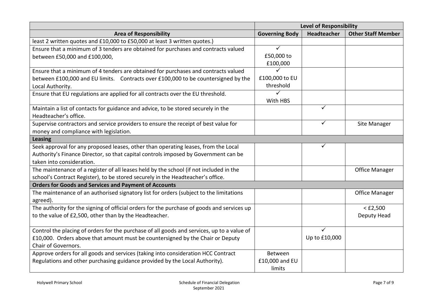|                                                                                            | <b>Level of Responsibility</b> |                    |                           |
|--------------------------------------------------------------------------------------------|--------------------------------|--------------------|---------------------------|
| <b>Area of Responsibility</b>                                                              | <b>Governing Body</b>          | <b>Headteacher</b> | <b>Other Staff Member</b> |
| least 2 written quotes and £10,000 to £50,000 at least 3 written quotes.)                  |                                |                    |                           |
| Ensure that a minimum of 3 tenders are obtained for purchases and contracts valued         | $\checkmark$                   |                    |                           |
| between £50,000 and £100,000,                                                              | £50,000 to                     |                    |                           |
|                                                                                            | £100,000                       |                    |                           |
| Ensure that a minimum of 4 tenders are obtained for purchases and contracts valued         | ✓                              |                    |                           |
| between £100,000 and EU limits. Contracts over £100,000 to be countersigned by the         | £100,000 to EU                 |                    |                           |
| Local Authority.                                                                           | threshold                      |                    |                           |
| Ensure that EU regulations are applied for all contracts over the EU threshold.            |                                |                    |                           |
|                                                                                            | With HBS                       |                    |                           |
| Maintain a list of contacts for guidance and advice, to be stored securely in the          |                                | $\checkmark$       |                           |
| Headteacher's office.                                                                      |                                |                    |                           |
| Supervise contractors and service providers to ensure the receipt of best value for        |                                | ✓                  | Site Manager              |
| money and compliance with legislation.                                                     |                                |                    |                           |
| <b>Leasing</b>                                                                             |                                |                    |                           |
| Seek approval for any proposed leases, other than operating leases, from the Local         |                                |                    |                           |
| Authority's Finance Director, so that capital controls imposed by Government can be        |                                |                    |                           |
| taken into consideration.                                                                  |                                |                    |                           |
| The maintenance of a register of all leases held by the school (if not included in the     |                                |                    | <b>Office Manager</b>     |
| school's Contract Register), to be stored securely in the Headteacher's office.            |                                |                    |                           |
| <b>Orders for Goods and Services and Payment of Accounts</b>                               |                                |                    |                           |
| The maintenance of an authorised signatory list for orders (subject to the limitations     |                                |                    | <b>Office Manager</b>     |
| agreed).                                                                                   |                                |                    |                           |
| The authority for the signing of official orders for the purchase of goods and services up |                                |                    | $<$ £2,500                |
| to the value of £2,500, other than by the Headteacher.                                     |                                |                    | Deputy Head               |
|                                                                                            |                                |                    |                           |
| Control the placing of orders for the purchase of all goods and services, up to a value of |                                | ✓                  |                           |
| £10,000. Orders above that amount must be countersigned by the Chair or Deputy             |                                | Up to £10,000      |                           |
| Chair of Governors.                                                                        |                                |                    |                           |
| Approve orders for all goods and services (taking into consideration HCC Contract          | Between                        |                    |                           |
| Regulations and other purchasing guidance provided by the Local Authority).                | £10,000 and EU                 |                    |                           |
|                                                                                            | limits                         |                    |                           |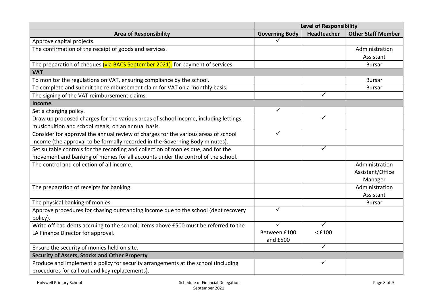|                                                                                      | <b>Level of Responsibility</b> |              |                           |
|--------------------------------------------------------------------------------------|--------------------------------|--------------|---------------------------|
| <b>Area of Responsibility</b>                                                        | <b>Governing Body</b>          | Headteacher  | <b>Other Staff Member</b> |
| Approve capital projects.                                                            |                                |              |                           |
| The confirmation of the receipt of goods and services.                               |                                |              | Administration            |
|                                                                                      |                                |              | Assistant                 |
| The preparation of cheques (via BACS September 2021). for payment of services.       |                                |              | <b>Bursar</b>             |
| <b>VAT</b>                                                                           |                                |              |                           |
| To monitor the regulations on VAT, ensuring compliance by the school.                |                                |              | <b>Bursar</b>             |
| To complete and submit the reimbursement claim for VAT on a monthly basis.           |                                |              | <b>Bursar</b>             |
| The signing of the VAT reimbursement claims.                                         |                                | ✓            |                           |
| Income                                                                               |                                |              |                           |
| Set a charging policy.                                                               | ✓                              |              |                           |
| Draw up proposed charges for the various areas of school income, including lettings, |                                | ✓            |                           |
| music tuition and school meals, on an annual basis.                                  |                                |              |                           |
| Consider for approval the annual review of charges for the various areas of school   | ✓                              |              |                           |
| income (the approval to be formally recorded in the Governing Body minutes).         |                                |              |                           |
| Set suitable controls for the recording and collection of monies due, and for the    |                                | $\checkmark$ |                           |
| movement and banking of monies for all accounts under the control of the school.     |                                |              |                           |
| The control and collection of all income.                                            |                                |              | Administration            |
|                                                                                      |                                |              | Assistant/Office          |
|                                                                                      |                                |              | Manager                   |
| The preparation of receipts for banking.                                             |                                |              | Administration            |
|                                                                                      |                                |              | Assistant                 |
| The physical banking of monies.                                                      |                                |              | <b>Bursar</b>             |
| Approve procedures for chasing outstanding income due to the school (debt recovery   | ✓                              |              |                           |
| policy).                                                                             |                                |              |                           |
| Write off bad debts accruing to the school; items above £500 must be referred to the | $\checkmark$                   | $\checkmark$ |                           |
| LA Finance Director for approval.                                                    | Between £100                   | $<$ £100     |                           |
|                                                                                      | and £500                       |              |                           |
| Ensure the security of monies held on site.                                          |                                | $\checkmark$ |                           |
| <b>Security of Assets, Stocks and Other Property</b>                                 |                                |              |                           |
| Produce and implement a policy for security arrangements at the school (including    |                                | ✓            |                           |
| procedures for call-out and key replacements).                                       |                                |              |                           |